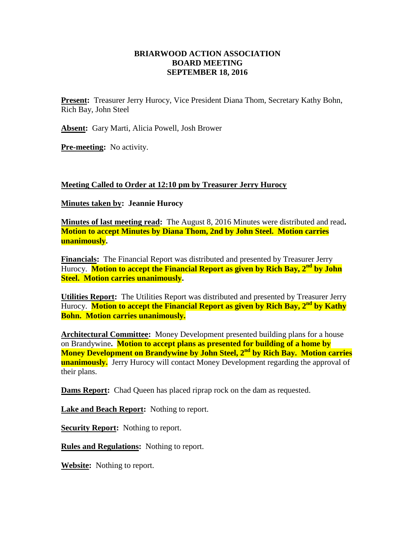## **BRIARWOOD ACTION ASSOCIATION BOARD MEETING SEPTEMBER 18, 2016**

**Present:** Treasurer Jerry Hurocy, Vice President Diana Thom, Secretary Kathy Bohn, Rich Bay, John Steel

**Absent:** Gary Marti, Alicia Powell, Josh Brower

**Pre-meeting:** No activity.

## **Meeting Called to Order at 12:10 pm by Treasurer Jerry Hurocy**

## **Minutes taken by: Jeannie Hurocy**

**Minutes of last meeting read:** The August 8, 2016 Minutes were distributed and read**. Motion to accept Minutes by Diana Thom, 2nd by John Steel. Motion carries unanimously.**

**Financials:** The Financial Report was distributed and presented by Treasurer Jerry Hurocy. **Motion to accept the Financial Report as given by Rich Bay, 2nd by John Steel. Motion carries unanimously.**

**Utilities Report:** The Utilities Report was distributed and presented by Treasurer Jerry Hurocy. **Motion to accept the Financial Report as given by Rich Bay, 2nd by Kathy Bohn. Motion carries unanimously.**

**Architectural Committee:** Money Development presented building plans for a house on Brandywine**. Motion to accept plans as presented for building of a home by Money Development on Brandywine by John Steel, 2nd by Rich Bay. Motion carries unanimously.** Jerry Hurocy will contact Money Development regarding the approval of their plans.

**Dams Report:** Chad Queen has placed riprap rock on the dam as requested.

Lake and Beach Report: Nothing to report.

**Security Report:** Nothing to report.

**Rules and Regulations:** Nothing to report.

**Website:** Nothing to report.